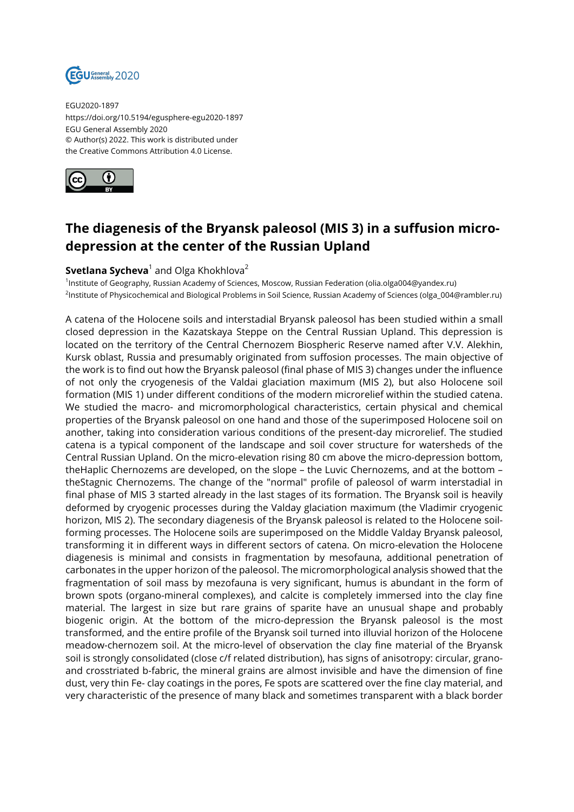

EGU2020-1897 https://doi.org/10.5194/egusphere-egu2020-1897 EGU General Assembly 2020 © Author(s) 2022. This work is distributed under the Creative Commons Attribution 4.0 License.



## **The diagenesis of the Bryansk paleosol (MIS 3) in a suffusion microdepression at the center of the Russian Upland**

## ${\sf Svetlana\, Sycheva^1$  and Olga Khokhlova $^2$

1 Institute of Geography, Russian Academy of Sciences, Moscow, Russian Federation (olia.olga004@yandex.ru) 2 Institute of Physicochemical and Biological Problems in Soil Science, Russian Academy of Sciences (olga\_004@rambler.ru)

A catena of the Holocene soils and interstadial Bryansk paleosol has been studied within a small closed depression in the Kazatskaya Steppe on the Central Russian Upland. This depression is located on the territory of the Central Chernozem Biospheric Reserve named after V.V. Alekhin, Kursk oblast, Russia and presumably originated from suffosion processes. The main objective of the work is to find out how the Bryansk paleosol (final phase of MIS 3) changes under the influence of not only the cryogenesis of the Valdai glaciation maximum (MIS 2), but also Holocene soil formation (MIS 1) under different conditions of the modern microrelief within the studied catena. We studied the macro- and micromorphological characteristics, certain physical and chemical properties of the Bryansk paleosol on one hand and those of the superimposed Holocene soil on another, taking into consideration various conditions of the present-day microrelief. The studied catena is a typical component of the landscape and soil cover structure for watersheds of the Central Russian Upland. On the micro-elevation rising 80 cm above the micro-depression bottom, theHaplic Chernozems are developed, on the slope – the Luvic Chernozems, and at the bottom – theStagnic Chernozems. The change of the "normal" profile of paleosol of warm interstadial in final phase of MIS 3 started already in the last stages of its formation. The Bryansk soil is heavily deformed by cryogenic processes during the Valday glaciation maximum (the Vladimir cryogenic horizon, MIS 2). The secondary diagenesis of the Bryansk paleosol is related to the Holocene soilforming processes. The Holocene soils are superimposed on the Middle Valday Bryansk paleosol, transforming it in different ways in different sectors of catena. On micro-elevation the Holocene diagenesis is minimal and consists in fragmentation by mesofauna, additional penetration of carbonates in the upper horizon of the paleosol. The micromorphological analysis showed that the fragmentation of soil mass by mezofauna is very significant, humus is abundant in the form of brown spots (organo-mineral complexes), and calcite is completely immersed into the clay fine material. The largest in size but rare grains of sparite have an unusual shape and probably biogenic origin. At the bottom of the micro-depression the Bryansk paleosol is the most transformed, and the entire profile of the Bryansk soil turned into illuvial horizon of the Holocene meadow-chernozem soil. At the micro-level of observation the clay fine material of the Bryansk soil is strongly consolidated (close c/f related distribution), has signs of anisotropy: circular, granoand crosstriated b-fabric, the mineral grains are almost invisible and have the dimension of fine dust, very thin Fe- clay coatings in the pores, Fe spots are scattered over the fine clay material, and very characteristic of the presence of many black and sometimes transparent with a black border